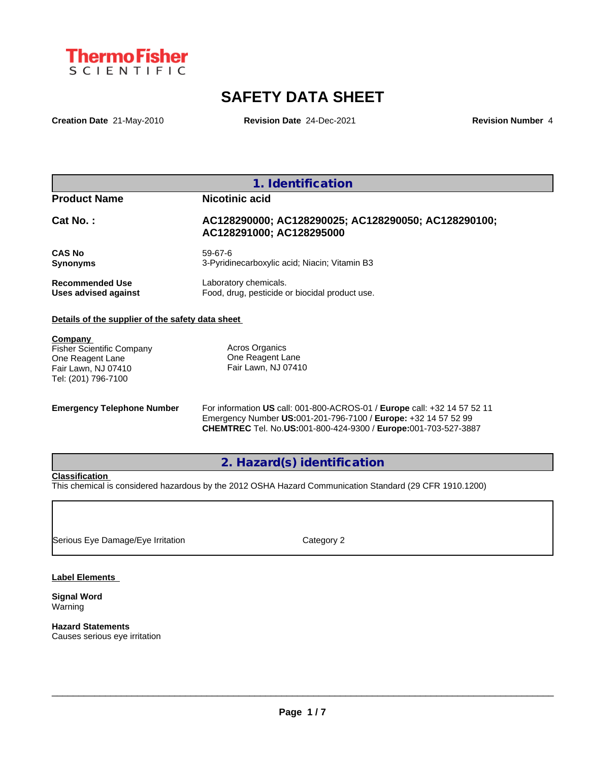

# **SAFETY DATA SHEET**

**Creation Date** 21-May-2010 **Revision Date** 24-Dec-2021 **Revision Number** 4

| <b>Product Name</b>    | Nicotinic acid                                                                  |
|------------------------|---------------------------------------------------------------------------------|
| $Cat No.$ :            | AC128290000; AC128290025; AC128290050; AC128290100;<br>AC128291000; AC128295000 |
| <b>CAS No</b>          | 59-67-6                                                                         |
| <b>Synonyms</b>        | 3-Pyridinecarboxylic acid; Niacin; Vitamin B3                                   |
| <b>Recommended Use</b> | Laboratory chemicals.                                                           |
| Uses advised against   | Food, drug, pesticide or biocidal product use.                                  |

**Company**  Fisher Scientific Company One Reagent Lane Fair Lawn, NJ 07410 Tel: (201) 796-7100

Acros Organics One Reagent Lane Fair Lawn, NJ 07410

**Emergency Telephone Number** For information **US** call: 001-800-ACROS-01 / **Europe** call: +32 14 57 52 11 Emergency Number **US:**001-201-796-7100 / **Europe:** +32 14 57 52 99 **CHEMTREC** Tel. No.**US:**001-800-424-9300 / **Europe:**001-703-527-3887

**2. Hazard(s) identification**

## **Classification**

This chemical is considered hazardous by the 2012 OSHA Hazard Communication Standard (29 CFR 1910.1200)

Serious Eye Damage/Eye Irritation Category 2

**Label Elements**

**Signal Word** Warning

**Hazard Statements** Causes serious eye irritation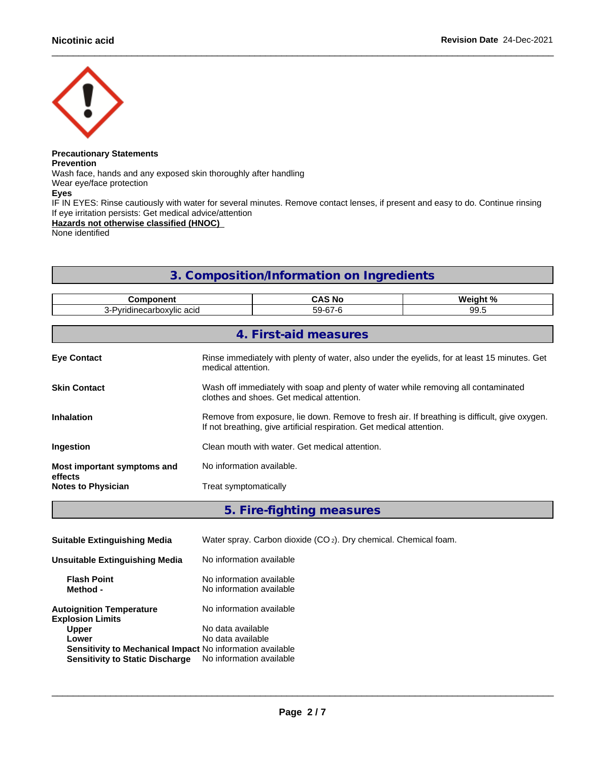

## **Precautionary Statements Prevention** Wash face, hands and any exposed skin thoroughly after handling

Wear eye/face protection<br>Eyes

**Eyes**

IF IN EYES: Rinse cautiously with water for several minutes. Remove contact lenses, if present and easy to do. Continue rinsing If eye irritation persists: Get medical advice/attention

**Hazards not otherwise classified (HNOC)**

None identified

# **3. Composition/Information on Ingredients**

| <b>Component</b><br>3-Pyridinecarboxylic acid |                                                                                                                                                                       | <b>CAS No</b>         | Weight % |
|-----------------------------------------------|-----------------------------------------------------------------------------------------------------------------------------------------------------------------------|-----------------------|----------|
|                                               |                                                                                                                                                                       | 59-67-6               | 99.5     |
|                                               |                                                                                                                                                                       |                       |          |
|                                               |                                                                                                                                                                       | 4. First-aid measures |          |
| <b>Eye Contact</b>                            | Rinse immediately with plenty of water, also under the eyelids, for at least 15 minutes. Get<br>medical attention.                                                    |                       |          |
| <b>Skin Contact</b>                           | Wash off immediately with soap and plenty of water while removing all contaminated<br>clothes and shoes. Get medical attention.                                       |                       |          |
| <b>Inhalation</b>                             | Remove from exposure, lie down. Remove to fresh air. If breathing is difficult, give oxygen.<br>If not breathing, give artificial respiration. Get medical attention. |                       |          |
| Ingestion                                     | Clean mouth with water. Get medical attention.                                                                                                                        |                       |          |
| Most important symptoms and<br>effects        | No information available.                                                                                                                                             |                       |          |
| <b>Notes to Physician</b>                     | Treat symptomatically                                                                                                                                                 |                       |          |
|                                               |                                                                                                                                                                       |                       |          |

## **5. Fire-fighting measures**

| <b>Suitable Extinguishing Media</b>                                                                                          | Water spray. Carbon dioxide $(CO_2)$ . Dry chemical. Chemical foam. |
|------------------------------------------------------------------------------------------------------------------------------|---------------------------------------------------------------------|
| Unsuitable Extinguishing Media                                                                                               | No information available                                            |
| <b>Flash Point</b><br>Method -                                                                                               | No information available<br>No information available                |
| <b>Autoignition Temperature</b><br><b>Explosion Limits</b>                                                                   | No information available                                            |
| <b>Upper</b><br>Lower<br>Sensitivity to Mechanical Impact No information available<br><b>Sensitivity to Static Discharge</b> | No data available<br>No data available<br>No information available  |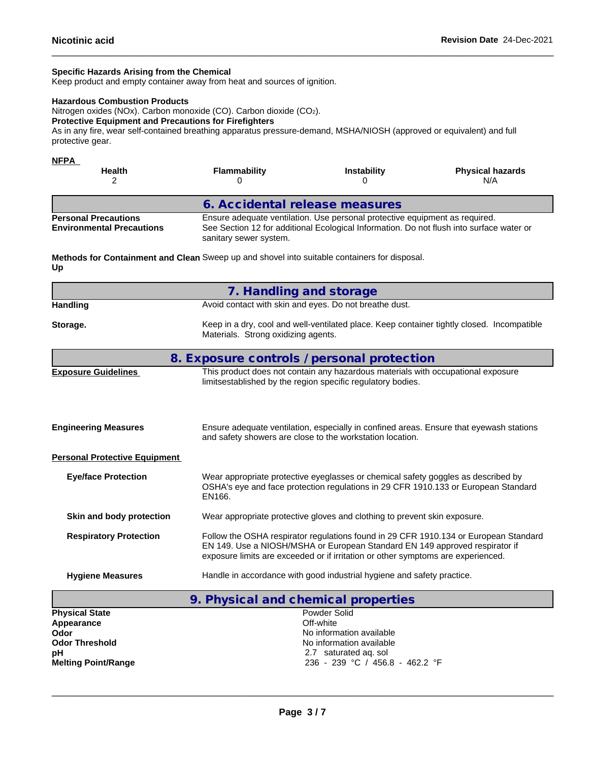## **Specific Hazards Arising from the Chemical**

Keep product and empty container away from heat and sources of ignition.

#### **Hazardous Combustion Products**

Nitrogen oxides (NOx). Carbon monoxide (CO). Carbon dioxide (CO2).

## **Protective Equipment and Precautions for Firefighters**

As in any fire, wear self-contained breathing apparatus pressure-demand, MSHA/NIOSH (approved or equivalent) and full protective gear.

| <b>NFPA</b><br><b>Health</b>                                    | <b>Flammability</b>            | <b>Instability</b>                                                          | <b>Physical hazards</b><br>N/A                                                           |
|-----------------------------------------------------------------|--------------------------------|-----------------------------------------------------------------------------|------------------------------------------------------------------------------------------|
|                                                                 | 6. Accidental release measures |                                                                             |                                                                                          |
| <b>Personal Precautions</b><br><b>Environmental Precautions</b> | sanitary sewer system.         | Ensure adequate ventilation. Use personal protective equipment as required. | See Section 12 for additional Ecological Information. Do not flush into surface water or |

**Methods for Containment and Clean** Sweep up and shovel into suitable containers for disposal. **Up**

| Avoid contact with skin and eyes. Do not breathe dust.<br><b>Handling</b><br>Storage.<br>Materials. Strong oxidizing agents.<br>8. Exposure controls / personal protection<br>This product does not contain any hazardous materials with occupational exposure<br><b>Exposure Guidelines</b><br>limitsestablished by the region specific regulatory bodies.<br><b>Engineering Measures</b><br>and safety showers are close to the workstation location.<br><b>Personal Protective Equipment</b><br><b>Eye/face Protection</b><br>Wear appropriate protective eyeglasses or chemical safety goggles as described by<br>EN166.<br>Wear appropriate protective gloves and clothing to prevent skin exposure.<br>Skin and body protection<br><b>Respiratory Protection</b><br>EN 149. Use a NIOSH/MSHA or European Standard EN 149 approved respirator if<br>exposure limits are exceeded or if irritation or other symptoms are experienced. |                         | 7. Handling and storage                                                                    |  |  |
|-------------------------------------------------------------------------------------------------------------------------------------------------------------------------------------------------------------------------------------------------------------------------------------------------------------------------------------------------------------------------------------------------------------------------------------------------------------------------------------------------------------------------------------------------------------------------------------------------------------------------------------------------------------------------------------------------------------------------------------------------------------------------------------------------------------------------------------------------------------------------------------------------------------------------------------------|-------------------------|--------------------------------------------------------------------------------------------|--|--|
|                                                                                                                                                                                                                                                                                                                                                                                                                                                                                                                                                                                                                                                                                                                                                                                                                                                                                                                                           |                         |                                                                                            |  |  |
|                                                                                                                                                                                                                                                                                                                                                                                                                                                                                                                                                                                                                                                                                                                                                                                                                                                                                                                                           |                         | Keep in a dry, cool and well-ventilated place. Keep container tightly closed. Incompatible |  |  |
|                                                                                                                                                                                                                                                                                                                                                                                                                                                                                                                                                                                                                                                                                                                                                                                                                                                                                                                                           |                         |                                                                                            |  |  |
|                                                                                                                                                                                                                                                                                                                                                                                                                                                                                                                                                                                                                                                                                                                                                                                                                                                                                                                                           |                         |                                                                                            |  |  |
|                                                                                                                                                                                                                                                                                                                                                                                                                                                                                                                                                                                                                                                                                                                                                                                                                                                                                                                                           |                         | Ensure adequate ventilation, especially in confined areas. Ensure that eyewash stations    |  |  |
|                                                                                                                                                                                                                                                                                                                                                                                                                                                                                                                                                                                                                                                                                                                                                                                                                                                                                                                                           |                         |                                                                                            |  |  |
|                                                                                                                                                                                                                                                                                                                                                                                                                                                                                                                                                                                                                                                                                                                                                                                                                                                                                                                                           |                         | OSHA's eye and face protection regulations in 29 CFR 1910.133 or European Standard         |  |  |
|                                                                                                                                                                                                                                                                                                                                                                                                                                                                                                                                                                                                                                                                                                                                                                                                                                                                                                                                           |                         |                                                                                            |  |  |
|                                                                                                                                                                                                                                                                                                                                                                                                                                                                                                                                                                                                                                                                                                                                                                                                                                                                                                                                           |                         | Follow the OSHA respirator regulations found in 29 CFR 1910.134 or European Standard       |  |  |
|                                                                                                                                                                                                                                                                                                                                                                                                                                                                                                                                                                                                                                                                                                                                                                                                                                                                                                                                           | <b>Hygiene Measures</b> | Handle in accordance with good industrial hygiene and safety practice.                     |  |  |
| 9. Physical and chemical properties                                                                                                                                                                                                                                                                                                                                                                                                                                                                                                                                                                                                                                                                                                                                                                                                                                                                                                       |                         |                                                                                            |  |  |
| Powder Solid<br><b>Physical State</b>                                                                                                                                                                                                                                                                                                                                                                                                                                                                                                                                                                                                                                                                                                                                                                                                                                                                                                     |                         |                                                                                            |  |  |
| Off-white<br>Appearance<br>No information available                                                                                                                                                                                                                                                                                                                                                                                                                                                                                                                                                                                                                                                                                                                                                                                                                                                                                       |                         |                                                                                            |  |  |
| Odor<br><b>Odor Threshold</b><br>No information available                                                                                                                                                                                                                                                                                                                                                                                                                                                                                                                                                                                                                                                                                                                                                                                                                                                                                 |                         |                                                                                            |  |  |

**pH** 2.7 saturated aq. sol<br> **Melting Point/Range** 236 - 239 °C / 456.

 $\_$  ,  $\_$  ,  $\_$  ,  $\_$  ,  $\_$  ,  $\_$  ,  $\_$  ,  $\_$  ,  $\_$  ,  $\_$  ,  $\_$  ,  $\_$  ,  $\_$  ,  $\_$  ,  $\_$  ,  $\_$  ,  $\_$  ,  $\_$  ,  $\_$  ,  $\_$  ,  $\_$  ,  $\_$  ,  $\_$  ,  $\_$  ,  $\_$  ,  $\_$  ,  $\_$  ,  $\_$  ,  $\_$  ,  $\_$  ,  $\_$  ,  $\_$  ,  $\_$  ,  $\_$  ,  $\_$  ,  $\_$  ,  $\_$  ,

**Melting Point/Range** 236 - 239 °C / 456.8 - 462.2 °F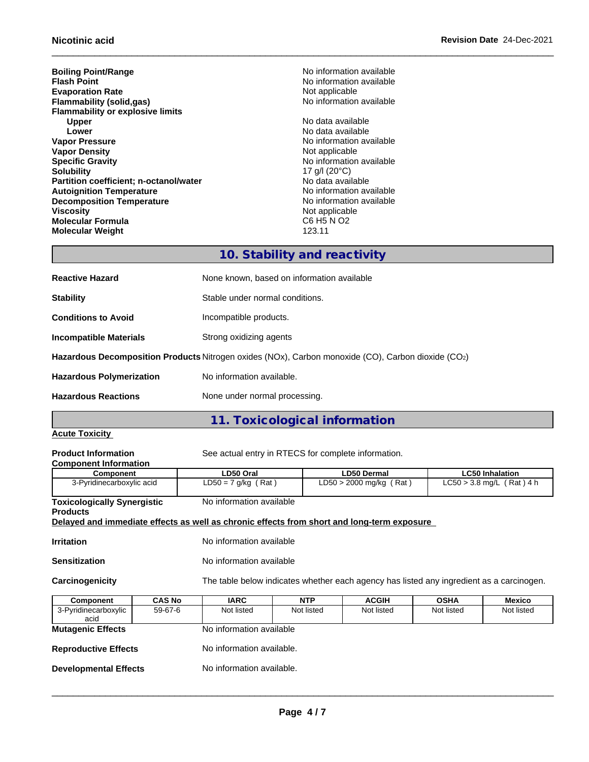**Boiling Point/Range**<br> **Flash Point**<br> **Flash Point**<br> **Point**<br> **Reference All Allen Control**<br>
No information available **Evaporation Rate**<br> **Elammability (solid,gas)**<br> **Elammability (solid,gas)**<br> **Rate** Not information available **Flammability** (solid,gas) **Flammability or explosive limits Upper Contract Contract Contract Contract Contract Contract Contract Contract Contract Contract Contract Contra<br>
No data available<br>
No data available Lower Lower Lower CONSISTENT ACCORDING TO A LOWER AND LOWER Vapor Pressure No data available Vapor Pressure Vapor Density<br>Specific Gravity Specific Gravity**<br> **Solubility** 17 g/l (20°C)<br> **Solubility** 17 g/l (20°C) **Partition coefficient; n-octanol/water** No data available<br> **Autoignition Temperature No information available**<br>
No information available **Autoignition Temperature**<br> **Decomposition Temperature** Temperature **No information available**<br>
No information available **Decomposition Temperature**<br>Viscosity **Molecular Formula Molecular Weight** 123.11

**No information available No information available<br>Not applicable** 17 g/l (20°C)<br>No data available Not applicable<br>C6 H5 N O2

## **10. Stability and reactivity**

| <b>Reactive Hazard</b>          | None known, based on information available                                                         |  |
|---------------------------------|----------------------------------------------------------------------------------------------------|--|
| <b>Stability</b>                | Stable under normal conditions.                                                                    |  |
| <b>Conditions to Avoid</b>      | Incompatible products.                                                                             |  |
| Incompatible Materials          | Strong oxidizing agents                                                                            |  |
|                                 | Hazardous Decomposition Products Nitrogen oxides (NOx), Carbon monoxide (CO), Carbon dioxide (CO2) |  |
| <b>Hazardous Polymerization</b> | No information available.                                                                          |  |
| <b>Hazardous Reactions</b>      | None under normal processing.                                                                      |  |

## **11. Toxicological information**

## **Acute Toxicity**

| <b>Product Information</b><br><b>Component Information</b>                                 | See actual entry in RTECS for complete information. |                                                                                          |                             |
|--------------------------------------------------------------------------------------------|-----------------------------------------------------|------------------------------------------------------------------------------------------|-----------------------------|
| Component                                                                                  | LD50 Oral                                           | <b>LD50 Dermal</b>                                                                       | <b>LC50 Inhalation</b>      |
| 3-Pyridinecarboxylic acid                                                                  | $LD50 = 7$ g/kg (Rat)                               | $LD50 > 2000$ mg/kg (Rat)                                                                | $LC50 > 3.8$ mg/L (Rat) 4 h |
| <b>Toxicologically Synergistic</b><br><b>Products</b>                                      | No information available                            |                                                                                          |                             |
| Delayed and immediate effects as well as chronic effects from short and long-term exposure |                                                     |                                                                                          |                             |
| Irritation                                                                                 | No information available                            |                                                                                          |                             |
| Sensitization                                                                              | No information available                            |                                                                                          |                             |
| Carcinogenicity                                                                            |                                                     | The table below indicates whether each agency has listed any ingredient as a carcinogen. |                             |
|                                                                                            |                                                     |                                                                                          |                             |

| <b>Component</b>             | <b>CAS No</b> | <b>IARC</b>               | <b>NTP</b> | <b>ACGIH</b> | <b>OSHA</b> | <b>Mexico</b> |
|------------------------------|---------------|---------------------------|------------|--------------|-------------|---------------|
| 3-Pyridinecarboxylic         | 59-67-6       | Not listed                | Not listed | Not listed   | Not listed  | Not listed    |
| acid                         |               |                           |            |              |             |               |
| <b>Mutagenic Effects</b>     |               | No information available  |            |              |             |               |
|                              |               |                           |            |              |             |               |
| <b>Reproductive Effects</b>  |               | No information available. |            |              |             |               |
|                              |               |                           |            |              |             |               |
| <b>Developmental Effects</b> |               | No information available. |            |              |             |               |
|                              |               |                           |            |              |             |               |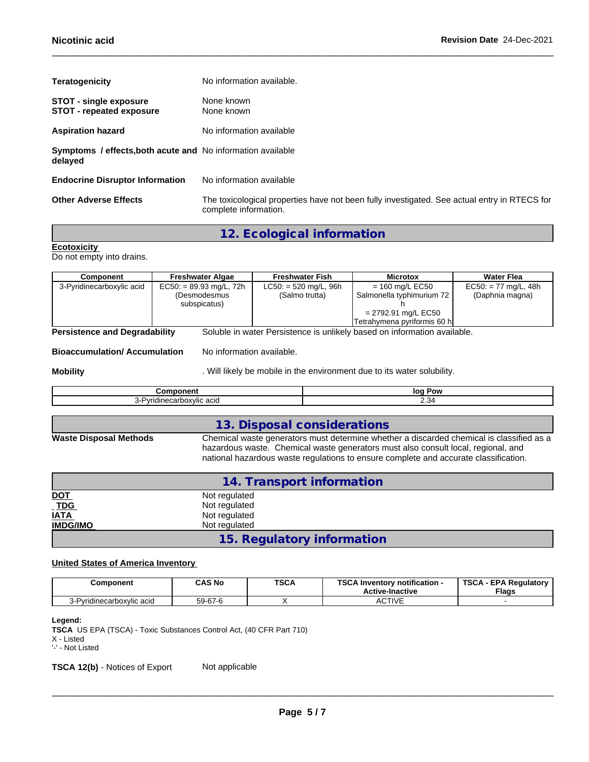| No information available.                                                                                             |
|-----------------------------------------------------------------------------------------------------------------------|
| None known<br>None known                                                                                              |
| No information available                                                                                              |
| Symptoms / effects, both acute and No information available                                                           |
| No information available                                                                                              |
| The toxicological properties have not been fully investigated. See actual entry in RTECS for<br>complete information. |
|                                                                                                                       |

## **12. Ecological information**

**Ecotoxicity**  Do not empty into drains.

| <b>Component</b>                     | <b>Freshwater Algae</b>   | <b>Freshwater Fish</b>  | <b>Microtox</b>                                                          | <b>Water Flea</b>      |
|--------------------------------------|---------------------------|-------------------------|--------------------------------------------------------------------------|------------------------|
| 3-Pyridinecarboxylic acid            | $EC50: = 89.93$ mg/L, 72h | $LC50: = 520$ mg/L, 96h | $= 160$ mg/L EC50                                                        | $EC50: = 77$ mg/L, 48h |
|                                      | (Desmodesmus              | (Salmo trutta)          | Salmonella typhimurium 72                                                | (Daphnia magna)        |
|                                      | subspicatus)              |                         |                                                                          |                        |
|                                      |                           |                         | = 2792.91 mg/L EC50                                                      |                        |
|                                      |                           |                         | Tetrahymena pyriformis 60 h                                              |                        |
| <b>Persistence and Degradability</b> |                           |                         | Soluble in water Persistence is unlikely based on information available. |                        |

**Bioaccumulation/ Accumulation** No information available.

**Mobility Mobility** . Will likely be mobile in the environment due to its water solubility.

| .                       | lor<br>. Pow        |
|-------------------------|---------------------|
| . .<br>$\cdots$<br>26 U | -<br>. <del>.</del> |
|                         |                     |

|                               | 13. Disposal considerations                                                                                                                                                                                                                                           |
|-------------------------------|-----------------------------------------------------------------------------------------------------------------------------------------------------------------------------------------------------------------------------------------------------------------------|
| <b>Waste Disposal Methods</b> | Chemical waste generators must determine whether a discarded chemical is classified as a<br>hazardous waste. Chemical waste generators must also consult local, regional, and<br>national hazardous waste regulations to ensure complete and accurate classification. |

|                                                            | 14. Transport information  |  |
|------------------------------------------------------------|----------------------------|--|
| <b>DOT</b>                                                 | Not regulated              |  |
| $\underline{\overline{TDG}}$<br>$\underline{\overline{I}}$ | Not regulated              |  |
|                                                            | Not regulated              |  |
| <b>IMDG/IMO</b>                                            | Not regulated              |  |
|                                                            | 15. Regulatory information |  |

## **United States of America Inventory**

| Component                        | <b>CAS No</b> | <b>TSCA</b> | TOO AL<br>.<br>. Inventorv notification -<br><b>Active-Inactive</b> | <b>TSCA</b><br><b>EPA Requlatory</b><br><b>Flags</b> |
|----------------------------------|---------------|-------------|---------------------------------------------------------------------|------------------------------------------------------|
| ridinecarboxvlic acid<br>3-Pvrid | $59 - 67 - 6$ |             | <b>CTIVE</b><br>Av.                                                 |                                                      |

#### **Legend:**

**TSCA** US EPA (TSCA) - Toxic Substances Control Act, (40 CFR Part 710)

'-' - Not Listed

**TSCA 12(b)** - Notices of Export Not applicable

X - Listed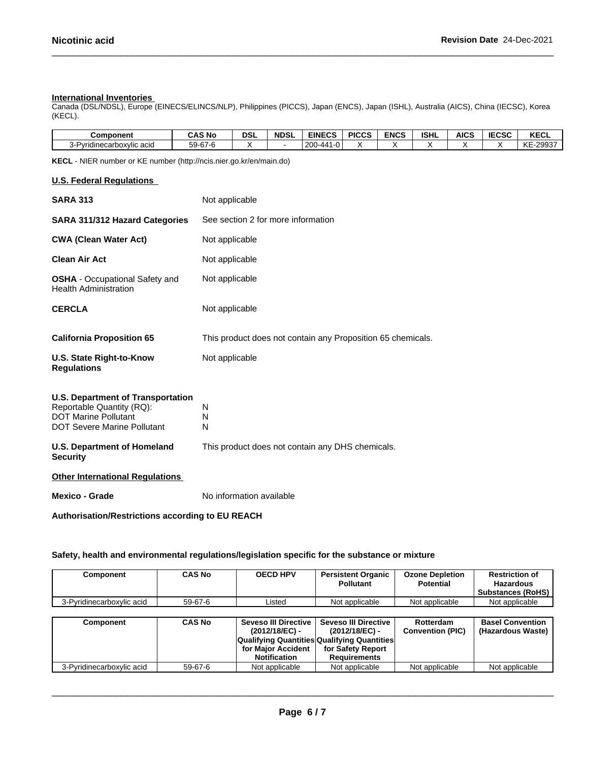#### **International Inventories**

Canada (DSL/NDSL), Europe (EINECS/ELINCS/NLP), Philippines (PICCS), Japan (ENCS), Japan (ISHL), Australia (AICS), China (IECSC), Korea (KECL).

| <b>Component</b>                    | <b>CAS No</b> | DSI | <b>NDSL</b> | <b>EINECS</b>                 | <b>PICCS</b> | <b>ENCS</b> | <b>ISHL</b> | <b>AICS</b> | IFABA<br>IECSC | <b>KECL</b>              |
|-------------------------------------|---------------|-----|-------------|-------------------------------|--------------|-------------|-------------|-------------|----------------|--------------------------|
| $\cdots$<br>Pyridinecarboxylic acid | 59-67-6       |     |             | 200<br>$\sim$<br>$-4$<br>ി-ധ. |              |             |             |             |                | -29937<br><b>KE</b><br>∼ |

**KECL** - NIER number or KE number (http://ncis.nier.go.kr/en/main.do)

#### **U.S. Federal Regulations**

| <b>SARA 313</b>                                                                                                                            | Not applicable                                              |
|--------------------------------------------------------------------------------------------------------------------------------------------|-------------------------------------------------------------|
| <b>SARA 311/312 Hazard Categories</b>                                                                                                      | See section 2 for more information                          |
| <b>CWA (Clean Water Act)</b>                                                                                                               | Not applicable                                              |
| <b>Clean Air Act</b>                                                                                                                       | Not applicable                                              |
| <b>OSHA</b> - Occupational Safety and<br><b>Health Administration</b>                                                                      | Not applicable                                              |
| <b>CERCLA</b>                                                                                                                              | Not applicable                                              |
| <b>California Proposition 65</b>                                                                                                           | This product does not contain any Proposition 65 chemicals. |
| U.S. State Right-to-Know<br><b>Regulations</b>                                                                                             | Not applicable                                              |
| <b>U.S. Department of Transportation</b><br>Reportable Quantity (RQ):<br><b>DOT Marine Pollutant</b><br><b>DOT Severe Marine Pollutant</b> | N<br>N<br>N                                                 |
| <b>U.S. Department of Homeland</b><br><b>Security</b>                                                                                      | This product does not contain any DHS chemicals.            |

**Other International Regulations**

**Mexico - Grade** No information available

**Authorisation/Restrictions according to EU REACH**

**Safety, health and environmental regulations/legislation specific for the substance or mixture**

| Component                 | <b>CAS No</b> | <b>OECD HPV</b>                                                                     | <b>Persistent Organic</b><br><b>Pollutant</b>                                                                                            | <b>Ozone Depletion</b><br>Potential  | <b>Restriction of</b><br><b>Hazardous</b><br><b>Substances (RoHS)</b> |
|---------------------------|---------------|-------------------------------------------------------------------------------------|------------------------------------------------------------------------------------------------------------------------------------------|--------------------------------------|-----------------------------------------------------------------------|
| 3-Pyridinecarboxylic acid | 59-67-6       | Listed                                                                              | Not applicable                                                                                                                           | Not applicable                       | Not applicable                                                        |
|                           |               |                                                                                     |                                                                                                                                          |                                      |                                                                       |
| Component                 | <b>CAS No</b> | <b>Seveso III Directive</b><br>(2012/18/EC) -<br>for Major Accident<br>Notification | <b>Seveso III Directive</b><br>(2012/18/EC) -<br>Qualifying Quantities Qualifying Quantities<br>for Safety Report<br><b>Requirements</b> | Rotterdam<br><b>Convention (PIC)</b> | <b>Basel Convention</b><br>(Hazardous Waste)                          |
| 3-Pyridinecarboxylic acid | 59-67-6       | Not applicable                                                                      | Not applicable                                                                                                                           | Not applicable                       | Not applicable                                                        |